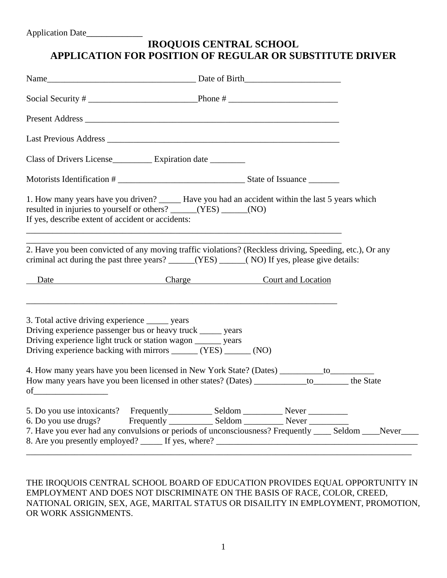## **IROQUOIS CENTRAL SCHOOL APPLICATION FOR POSITION OF REGULAR OR SUBSTITUTE DRIVER**

| Class of Drivers License Expiration date _______                                                                                                                                                                                                                                                                                                |                                                                                                                                                                                                                                         |  |  |  |
|-------------------------------------------------------------------------------------------------------------------------------------------------------------------------------------------------------------------------------------------------------------------------------------------------------------------------------------------------|-----------------------------------------------------------------------------------------------------------------------------------------------------------------------------------------------------------------------------------------|--|--|--|
|                                                                                                                                                                                                                                                                                                                                                 |                                                                                                                                                                                                                                         |  |  |  |
| 1. How many years have you driven? _______ Have you had an accident within the last 5 years which<br>resulted in injuries to yourself or others? ______(YES) _____(NO)<br>If yes, describe extent of accident or accidents:<br>and the control of the control of the control of the control of the control of the control of the control of the |                                                                                                                                                                                                                                         |  |  |  |
|                                                                                                                                                                                                                                                                                                                                                 | 2. Have you been convicted of any moving traffic violations? (Reckless driving, Speeding, etc.), Or any<br>criminal act during the past three years? _____(YES) ____(NO) If yes, please give details:<br>Date Charge Court and Location |  |  |  |
| 3. Total active driving experience _______ years<br>Driving experience passenger bus or heavy truck _____ years<br>Driving experience light truck or station wagon ________ years<br>Driving experience backing with mirrors ______ (YES) ______ (NO)                                                                                           |                                                                                                                                                                                                                                         |  |  |  |
|                                                                                                                                                                                                                                                                                                                                                 | 4. How many years have you been licensed in New York State? (Dates) __________ to___________________<br>How many years have you been licensed in other states? (Dates) _____________to_________the State                                |  |  |  |
| 6. Do you use drugs?                                                                                                                                                                                                                                                                                                                            | 7. Have you ever had any convulsions or periods of unconsciousness? Frequently ____ Seldom ____Never____                                                                                                                                |  |  |  |

THE IROQUOIS CENTRAL SCHOOL BOARD OF EDUCATION PROVIDES EQUAL OPPORTUNITY IN EMPLOYMENT AND DOES NOT DISCRIMINATE ON THE BASIS OF RACE, COLOR, CREED, NATIONAL ORIGIN, SEX, AGE, MARITAL STATUS OR DISAILITY IN EMPLOYMENT, PROMOTION, OR WORK ASSIGNMENTS.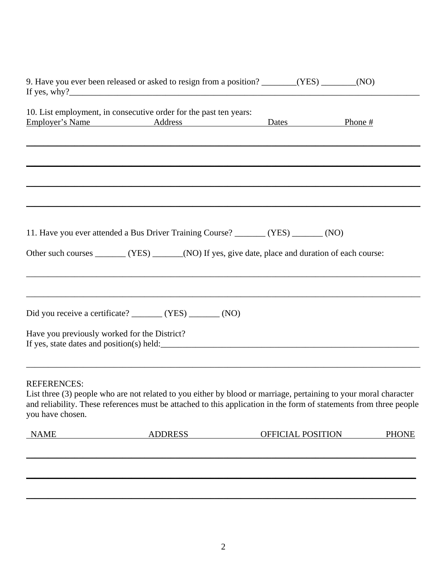|                                              | 9. Have you ever been released or asked to resign from a position? _______(YES) ______(NO)                                                                                                                                                                                                                                 |                   |              |
|----------------------------------------------|----------------------------------------------------------------------------------------------------------------------------------------------------------------------------------------------------------------------------------------------------------------------------------------------------------------------------|-------------------|--------------|
|                                              | 10. List employment, in consecutive order for the past ten years:<br>Employer's Name Address Dates Dates                                                                                                                                                                                                                   |                   | Phone #      |
|                                              |                                                                                                                                                                                                                                                                                                                            |                   |              |
|                                              |                                                                                                                                                                                                                                                                                                                            |                   |              |
|                                              | 11. Have you ever attended a Bus Driver Training Course? _______ (YES) ______ (NO)                                                                                                                                                                                                                                         |                   |              |
|                                              | Other such courses _______ (YES) ______ (NO) If yes, give date, place and duration of each course:<br>,我们也不能在这里的人,我们也不能在这里的人,我们也不能在这里的人,我们也不能在这里的人,我们也不能在这里的人,我们也不能在这里的人,我们也不能在这里的人,我们也                                                                                                                                    |                   |              |
|                                              | Did you receive a certificate? _______ (YES) ______ (NO)                                                                                                                                                                                                                                                                   |                   |              |
| Have you previously worked for the District? |                                                                                                                                                                                                                                                                                                                            |                   |              |
| <b>REFERENCES:</b><br>you have chosen.       | ,我们也不能在这里的时候,我们也不能在这里的时候,我们也不能在这里的时候,我们也不能会在这里的时候,我们也不能会在这里的时候,我们也不能会在这里的时候,我们也不<br>List three (3) people who are not related to you either by blood or marriage, pertaining to your moral character<br>and reliability. These references must be attached to this application in the form of statements from three people |                   |              |
| <b>NAME</b>                                  | <b>ADDRESS</b>                                                                                                                                                                                                                                                                                                             | OFFICIAL POSITION | <b>PHONE</b> |
|                                              |                                                                                                                                                                                                                                                                                                                            |                   |              |
|                                              |                                                                                                                                                                                                                                                                                                                            |                   |              |